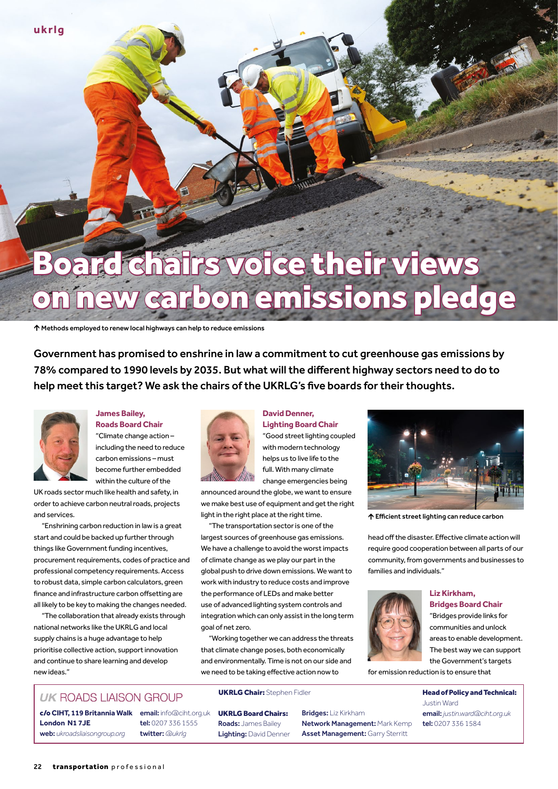#### **ukrlg**

# Board chairs voice their views on new carbon emissions pledge

Methods employed to renew local highways can help to reduce emissions

Government has promised to enshrine in law a commitment to cut greenhouse gas emissions by 78% compared to 1990 levels by 2035. But what will the different highway sectors need to do to help meet this target? We ask the chairs of the UKRLG's five boards for their thoughts.



#### **James Bailey, Roads Board Chair**

"Climate change action – including the need to reduce carbon emissions – must become further embedded within the culture of the

UK roads sector much like health and safety, in order to achieve carbon neutral roads, projects and services.

"Enshrining carbon reduction in law is a great start and could be backed up further through things like Government funding incentives, procurement requirements, codes of practice and professional competency requirements. Access to robust data, simple carbon calculators, green finance and infrastructure carbon offsetting are all likely to be key to making the changes needed.

"The collaboration that already exists through national networks like the UKRLG and local supply chains is a huge advantage to help prioritise collective action, support innovation and continue to share learning and develop new ideas."



#### **David Denner,**

**Lighting Board Chair** "Good street lighting coupled with modern technology helps us to live life to the full. With many climate change emergencies being

announced around the globe, we want to ensure we make best use of equipment and get the right light in the right place at the right time.

"The transportation sector is one of the largest sources of greenhouse gas emissions. We have a challenge to avoid the worst impacts of climate change as we play our part in the global push to drive down emissions. We want to work with industry to reduce costs and improve the performance of LEDs and make better use of advanced lighting system controls and integration which can only assist in the long term goal of net zero.

"Working together we can address the threats that climate change poses, both economically and environmentally. Time is not on our side and we need to be taking effective action now to

### **UK ROADS LIAISON GROUP**

c/o **CIHT, 119 Britannia Walk** email: info@ciht.org.uk **London N1 7JE** web: *[ukroadsliaisongroup.org](http://www.ukroadsliaisongroup.org)*

tel: 0207 336 1555 twitter: *[@ukrlg](https://twitter.com/ukrlg)*

#### UKRLG Chair: Stephen Fidler **Head of Policy and Technical:**

UKRLG Board Chairs: Roads: James Bailey Lighting: David Denner Bridges: Liz Kirkham Network Management: Mark Kemp Asset Management: Garry Sterritt



Efficient street lighting can reduce carbon

head off the disaster. Effective climate action will require good cooperation between all parts of our community, from governments and businesses to families and individuals."



#### **Liz Kirkham, Bridges Board Chair**

"Bridges provide links for communities and unlock areas to enable development. The best way we can support the Government's targets

for emission reduction is to ensure that

Justin Ward email: *[justin.ward@ciht.org.uk](mailto:justin.ward%40ciht.org.uk?subject=)* tel: 0207 336 1584